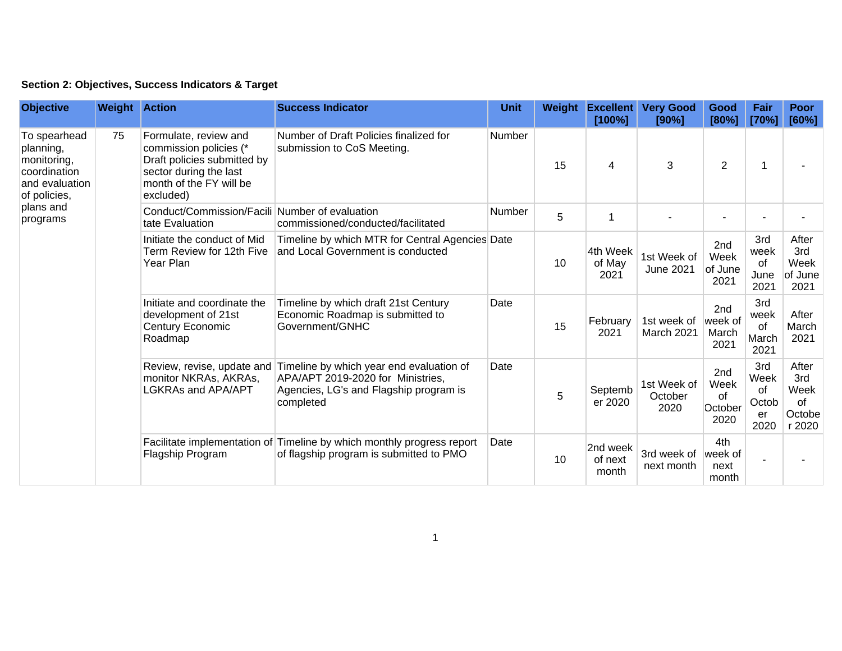| Section 2: Objectives, Success Indicators & Target |  |  |  |  |  |
|----------------------------------------------------|--|--|--|--|--|
|----------------------------------------------------|--|--|--|--|--|

| <b>Objective</b>                                                                                                    | <b>Weight Action</b> |                                                                                                                                                  | <b>Success Indicator</b>                                                                                                                                        | <b>Unit</b> | Weight | <b>Excellent</b><br>[100%]   | <b>Very Good</b><br>[90%]      | Good<br>[80%]                        | Fair<br>[70%]                            | <b>Poor</b><br>[60%]                           |
|---------------------------------------------------------------------------------------------------------------------|----------------------|--------------------------------------------------------------------------------------------------------------------------------------------------|-----------------------------------------------------------------------------------------------------------------------------------------------------------------|-------------|--------|------------------------------|--------------------------------|--------------------------------------|------------------------------------------|------------------------------------------------|
| To spearhead<br>planning,<br>monitoring,<br>coordination<br>and evaluation<br>of policies,<br>plans and<br>programs | 75                   | Formulate, review and<br>commission policies (*<br>Draft policies submitted by<br>sector during the last<br>month of the FY will be<br>excluded) | Number of Draft Policies finalized for<br>submission to CoS Meeting.                                                                                            | Number      | 15     | 4                            | 3                              | $\overline{2}$                       |                                          |                                                |
|                                                                                                                     |                      | Conduct/Commission/Facili Number of evaluation<br>tate Evaluation                                                                                | commissioned/conducted/facilitated                                                                                                                              | Number      | 5      | 1                            |                                |                                      |                                          |                                                |
|                                                                                                                     |                      | Initiate the conduct of Mid<br>Term Review for 12th Five<br>Year Plan                                                                            | Timeline by which MTR for Central Agencies Date<br>and Local Government is conducted                                                                            |             | 10     | 4th Week<br>of May<br>2021   | 1st Week of<br>June 2021       | 2nd<br>Week<br>of June<br>2021       | 3rd<br>week<br>0f<br>June<br>2021        | After<br>3rd<br>Week<br>of June<br>2021        |
|                                                                                                                     |                      | Initiate and coordinate the<br>development of 21st<br>Century Economic<br>Roadmap                                                                | Timeline by which draft 21st Century<br>Economic Roadmap is submitted to<br>Government/GNHC                                                                     | Date        | 15     | February<br>2021             | 1st week of<br>March 2021      | 2nd<br>week of<br>March<br>2021      | 3rd<br>week<br>of<br>March<br>2021       | After<br>March<br>2021                         |
|                                                                                                                     |                      | monitor NKRAs, AKRAs,<br>LGKRAs and APA/APT                                                                                                      | Review, revise, update and Timeline by which year end evaluation of<br>APA/APT 2019-2020 for Ministries,<br>Agencies, LG's and Flagship program is<br>completed | Date        | 5      | Septemb<br>er 2020           | 1st Week of<br>October<br>2020 | 2nd<br>Week<br>of<br>October<br>2020 | 3rd<br>Week<br>οf<br>Octob<br>er<br>2020 | After<br>3rd<br>Week<br>of<br>Octobe<br>r 2020 |
|                                                                                                                     |                      | Flagship Program                                                                                                                                 | Facilitate implementation of Timeline by which monthly progress report<br>of flagship program is submitted to PMO                                               | Date        | 10     | 2nd week<br>of next<br>month | 3rd week of<br>next month      | 4th<br>week of<br>next<br>month      |                                          |                                                |